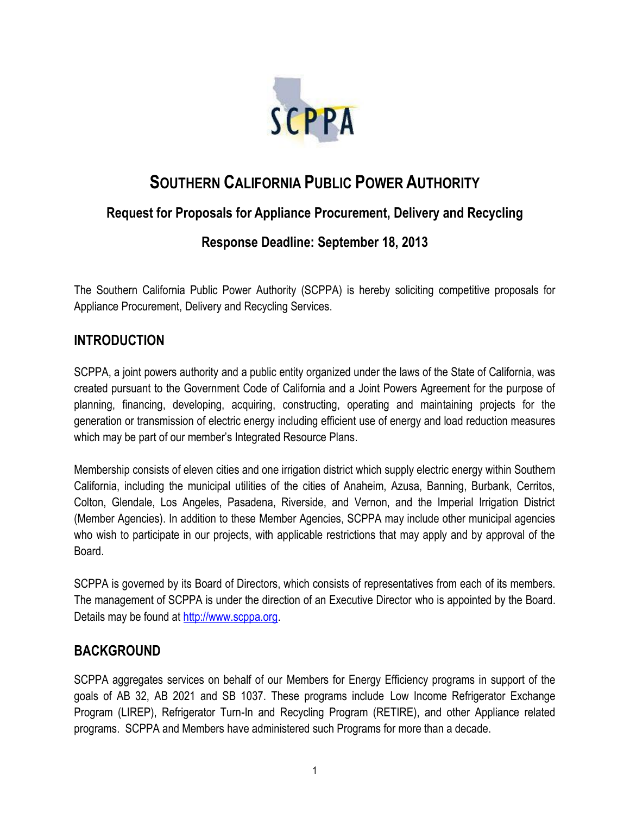

# **SOUTHERN CALIFORNIA PUBLIC POWER AUTHORITY**

# **Request for Proposals for Appliance Procurement, Delivery and Recycling**

# **Response Deadline: September 18, 2013**

The Southern California Public Power Authority (SCPPA) is hereby soliciting competitive proposals for Appliance Procurement, Delivery and Recycling Services.

# **INTRODUCTION**

SCPPA, a joint powers authority and a public entity organized under the laws of the State of California, was created pursuant to the Government Code of California and a Joint Powers Agreement for the purpose of planning, financing, developing, acquiring, constructing, operating and maintaining projects for the generation or transmission of electric energy including efficient use of energy and load reduction measures which may be part of our member's Integrated Resource Plans.

Membership consists of eleven cities and one irrigation district which supply electric energy within Southern California, including the municipal utilities of the cities of Anaheim, Azusa, Banning, Burbank, Cerritos, Colton, Glendale, Los Angeles, Pasadena, Riverside, and Vernon, and the Imperial Irrigation District (Member Agencies). In addition to these Member Agencies, SCPPA may include other municipal agencies who wish to participate in our projects, with applicable restrictions that may apply and by approval of the Board.

SCPPA is governed by its Board of Directors, which consists of representatives from each of its members. The management of SCPPA is under the direction of an Executive Director who is appointed by the Board. Details may be found at [http://www.scppa.org.](http://www.scppa.org/)

# **BACKGROUND**

SCPPA aggregates services on behalf of our Members for Energy Efficiency programs in support of the goals of AB 32, AB 2021 and SB 1037. These programs include Low Income Refrigerator Exchange Program (LIREP), Refrigerator Turn-In and Recycling Program (RETIRE), and other Appliance related programs. SCPPA and Members have administered such Programs for more than a decade.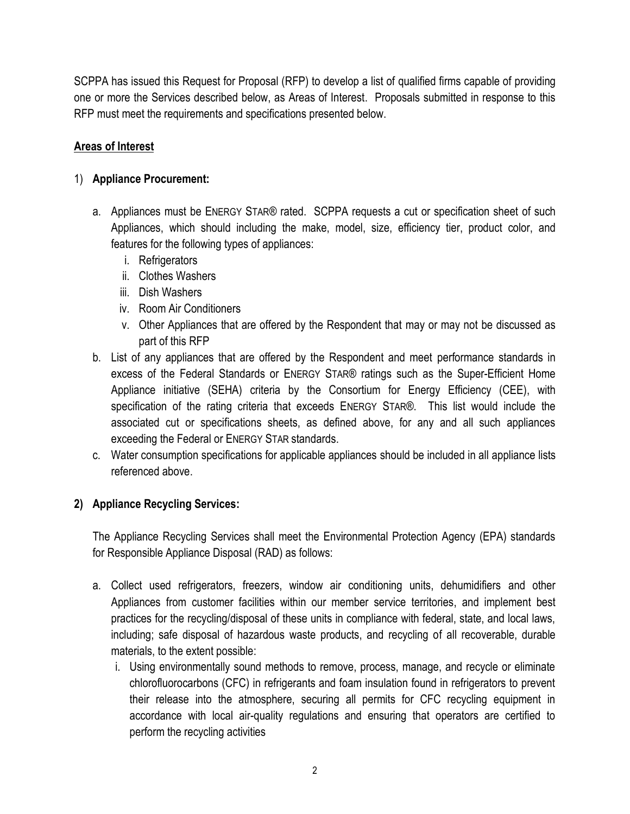SCPPA has issued this Request for Proposal (RFP) to develop a list of qualified firms capable of providing one or more the Services described below, as Areas of Interest. Proposals submitted in response to this RFP must meet the requirements and specifications presented below.

# **Areas of Interest**

# 1) **Appliance Procurement:**

- a. Appliances must be ENERGY STAR® rated. SCPPA requests a cut or specification sheet of such Appliances, which should including the make, model, size, efficiency tier, product color, and features for the following types of appliances:
	- i. Refrigerators
	- ii. Clothes Washers
	- iii. Dish Washers
	- iv. Room Air Conditioners
	- v. Other Appliances that are offered by the Respondent that may or may not be discussed as part of this RFP
- b. List of any appliances that are offered by the Respondent and meet performance standards in excess of the Federal Standards or ENERGY STAR® ratings such as the Super-Efficient Home Appliance initiative (SEHA) criteria by the Consortium for Energy Efficiency (CEE), with specification of the rating criteria that exceeds ENERGY STAR®. This list would include the associated cut or specifications sheets, as defined above, for any and all such appliances exceeding the Federal or ENERGY STAR standards.
- c. Water consumption specifications for applicable appliances should be included in all appliance lists referenced above.

## **2) Appliance Recycling Services:**

The Appliance Recycling Services shall meet the Environmental Protection Agency (EPA) standards for Responsible Appliance Disposal (RAD) as follows:

- a. Collect used refrigerators, freezers, window air conditioning units, dehumidifiers and other Appliances from customer facilities within our member service territories, and implement best practices for the recycling/disposal of these units in compliance with federal, state, and local laws, including; safe disposal of hazardous waste products, and recycling of all recoverable, durable materials, to the extent possible:
	- i. Using environmentally sound methods to remove, process, manage, and recycle or eliminate chlorofluorocarbons (CFC) in refrigerants and foam insulation found in refrigerators to prevent their release into the atmosphere, securing all permits for CFC recycling equipment in accordance with local air-quality regulations and ensuring that operators are certified to perform the recycling activities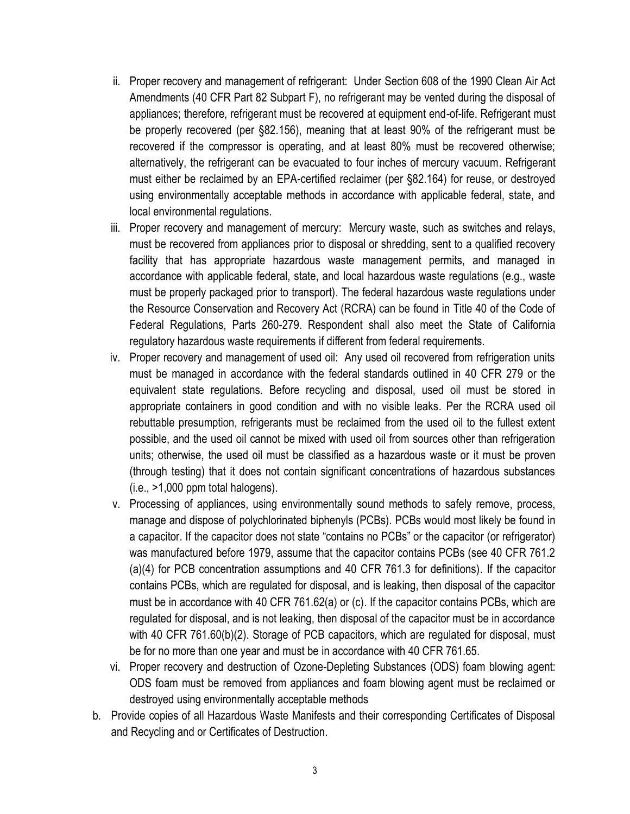- ii. Proper recovery and management of refrigerant: Under Section 608 of the 1990 Clean Air Act Amendments (40 CFR Part 82 Subpart F), no refrigerant may be vented during the disposal of appliances; therefore, refrigerant must be recovered at equipment end-of-life. Refrigerant must be properly recovered (per §82.156), meaning that at least 90% of the refrigerant must be recovered if the compressor is operating, and at least 80% must be recovered otherwise; alternatively, the refrigerant can be evacuated to four inches of mercury vacuum. Refrigerant must either be reclaimed by an EPA-certified reclaimer (per §82.164) for reuse, or destroyed using environmentally acceptable methods in accordance with applicable federal, state, and local environmental regulations.
- iii. Proper recovery and management of mercury: Mercury waste, such as switches and relays, must be recovered from appliances prior to disposal or shredding, sent to a qualified recovery facility that has appropriate hazardous waste management permits, and managed in accordance with applicable federal, state, and local hazardous waste regulations (e.g., waste must be properly packaged prior to transport). The federal hazardous waste regulations under the Resource Conservation and Recovery Act (RCRA) can be found in Title 40 of the Code of Federal Regulations, Parts 260-279. Respondent shall also meet the State of California regulatory hazardous waste requirements if different from federal requirements.
- iv. Proper recovery and management of used oil: Any used oil recovered from refrigeration units must be managed in accordance with the federal standards outlined in 40 CFR 279 or the equivalent state regulations. Before recycling and disposal, used oil must be stored in appropriate containers in good condition and with no visible leaks. Per the RCRA used oil rebuttable presumption, refrigerants must be reclaimed from the used oil to the fullest extent possible, and the used oil cannot be mixed with used oil from sources other than refrigeration units; otherwise, the used oil must be classified as a hazardous waste or it must be proven (through testing) that it does not contain significant concentrations of hazardous substances (i.e., >1,000 ppm total halogens).
- v. Processing of appliances, using environmentally sound methods to safely remove, process, manage and dispose of polychlorinated biphenyls (PCBs). PCBs would most likely be found in a capacitor. If the capacitor does not state "contains no PCBs" or the capacitor (or refrigerator) was manufactured before 1979, assume that the capacitor contains PCBs (see 40 CFR 761.2 (a)(4) for PCB concentration assumptions and 40 CFR 761.3 for definitions). If the capacitor contains PCBs, which are regulated for disposal, and is leaking, then disposal of the capacitor must be in accordance with 40 CFR 761.62(a) or (c). If the capacitor contains PCBs, which are regulated for disposal, and is not leaking, then disposal of the capacitor must be in accordance with 40 CFR 761.60(b)(2). Storage of PCB capacitors, which are regulated for disposal, must be for no more than one year and must be in accordance with 40 CFR 761.65.
- vi. Proper recovery and destruction of Ozone-Depleting Substances (ODS) foam blowing agent: ODS foam must be removed from appliances and foam blowing agent must be reclaimed or destroyed using environmentally acceptable methods
- b. Provide copies of all Hazardous Waste Manifests and their corresponding Certificates of Disposal and Recycling and or Certificates of Destruction.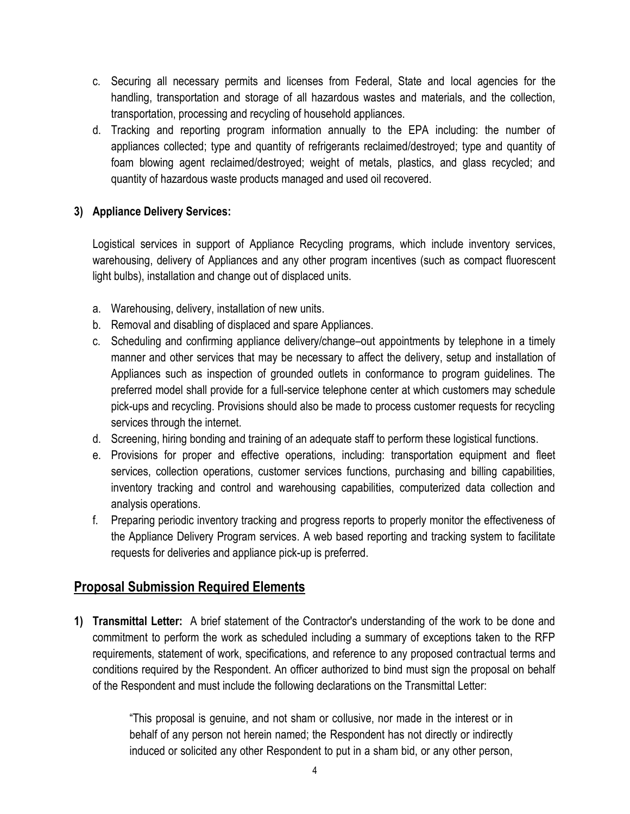- c. Securing all necessary permits and licenses from Federal, State and local agencies for the handling, transportation and storage of all hazardous wastes and materials, and the collection, transportation, processing and recycling of household appliances.
- d. Tracking and reporting program information annually to the EPA including: the number of appliances collected; type and quantity of refrigerants reclaimed/destroyed; type and quantity of foam blowing agent reclaimed/destroyed; weight of metals, plastics, and glass recycled; and quantity of hazardous waste products managed and used oil recovered.

## **3) Appliance Delivery Services:**

Logistical services in support of Appliance Recycling programs, which include inventory services, warehousing, delivery of Appliances and any other program incentives (such as compact fluorescent light bulbs), installation and change out of displaced units.

- a. Warehousing, delivery, installation of new units.
- b. Removal and disabling of displaced and spare Appliances.
- c. Scheduling and confirming appliance delivery/change–out appointments by telephone in a timely manner and other services that may be necessary to affect the delivery, setup and installation of Appliances such as inspection of grounded outlets in conformance to program guidelines. The preferred model shall provide for a full-service telephone center at which customers may schedule pick-ups and recycling. Provisions should also be made to process customer requests for recycling services through the internet.
- d. Screening, hiring bonding and training of an adequate staff to perform these logistical functions.
- e. Provisions for proper and effective operations, including: transportation equipment and fleet services, collection operations, customer services functions, purchasing and billing capabilities, inventory tracking and control and warehousing capabilities, computerized data collection and analysis operations.
- f. Preparing periodic inventory tracking and progress reports to properly monitor the effectiveness of the Appliance Delivery Program services. A web based reporting and tracking system to facilitate requests for deliveries and appliance pick-up is preferred.

# **Proposal Submission Required Elements**

**1) Transmittal Letter:** A brief statement of the Contractor's understanding of the work to be done and commitment to perform the work as scheduled including a summary of exceptions taken to the RFP requirements, statement of work, specifications, and reference to any proposed contractual terms and conditions required by the Respondent. An officer authorized to bind must sign the proposal on behalf of the Respondent and must include the following declarations on the Transmittal Letter:

> "This proposal is genuine, and not sham or collusive, nor made in the interest or in behalf of any person not herein named; the Respondent has not directly or indirectly induced or solicited any other Respondent to put in a sham bid, or any other person,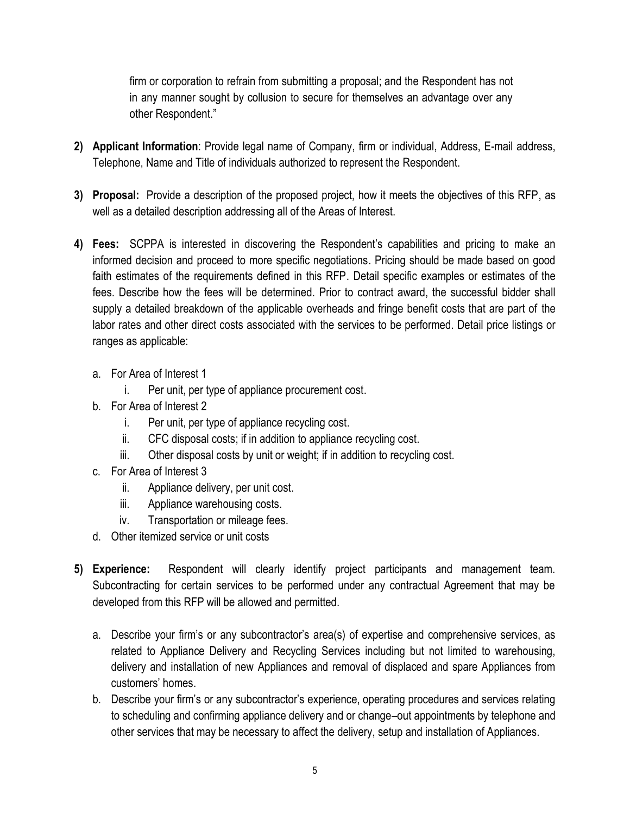firm or corporation to refrain from submitting a proposal; and the Respondent has not in any manner sought by collusion to secure for themselves an advantage over any other Respondent."

- **2) Applicant Information**: Provide legal name of Company, firm or individual, Address, E-mail address, Telephone, Name and Title of individuals authorized to represent the Respondent.
- **3) Proposal:** Provide a description of the proposed project, how it meets the objectives of this RFP, as well as a detailed description addressing all of the Areas of Interest.
- **4) Fees:** SCPPA is interested in discovering the Respondent's capabilities and pricing to make an informed decision and proceed to more specific negotiations. Pricing should be made based on good faith estimates of the requirements defined in this RFP. Detail specific examples or estimates of the fees. Describe how the fees will be determined. Prior to contract award, the successful bidder shall supply a detailed breakdown of the applicable overheads and fringe benefit costs that are part of the labor rates and other direct costs associated with the services to be performed. Detail price listings or ranges as applicable:
	- a. For Area of Interest 1
		- i. Per unit, per type of appliance procurement cost.
	- b. For Area of Interest 2
		- i. Per unit, per type of appliance recycling cost.
		- ii. CFC disposal costs; if in addition to appliance recycling cost.
		- iii. Other disposal costs by unit or weight; if in addition to recycling cost.
	- c. For Area of Interest 3
		- ii. Appliance delivery, per unit cost.
		- iii. Appliance warehousing costs.
		- iv. Transportation or mileage fees.
	- d. Other itemized service or unit costs
- **5) Experience:** Respondent will clearly identify project participants and management team. Subcontracting for certain services to be performed under any contractual Agreement that may be developed from this RFP will be allowed and permitted.
	- a. Describe your firm's or any subcontractor's area(s) of expertise and comprehensive services, as related to Appliance Delivery and Recycling Services including but not limited to warehousing, delivery and installation of new Appliances and removal of displaced and spare Appliances from customers' homes.
	- b. Describe your firm's or any subcontractor's experience, operating procedures and services relating to scheduling and confirming appliance delivery and or change–out appointments by telephone and other services that may be necessary to affect the delivery, setup and installation of Appliances.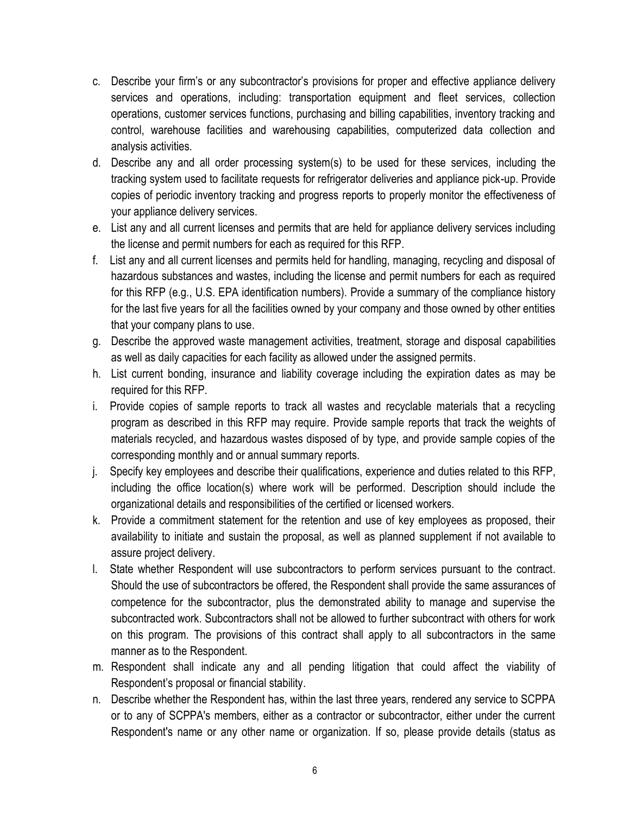- c. Describe your firm's or any subcontractor's provisions for proper and effective appliance delivery services and operations, including: transportation equipment and fleet services, collection operations, customer services functions, purchasing and billing capabilities, inventory tracking and control, warehouse facilities and warehousing capabilities, computerized data collection and analysis activities.
- d. Describe any and all order processing system(s) to be used for these services, including the tracking system used to facilitate requests for refrigerator deliveries and appliance pick-up. Provide copies of periodic inventory tracking and progress reports to properly monitor the effectiveness of your appliance delivery services.
- e. List any and all current licenses and permits that are held for appliance delivery services including the license and permit numbers for each as required for this RFP.
- f. List any and all current licenses and permits held for handling, managing, recycling and disposal of hazardous substances and wastes, including the license and permit numbers for each as required for this RFP (e.g., U.S. EPA identification numbers). Provide a summary of the compliance history for the last five years for all the facilities owned by your company and those owned by other entities that your company plans to use.
- g. Describe the approved waste management activities, treatment, storage and disposal capabilities as well as daily capacities for each facility as allowed under the assigned permits.
- h. List current bonding, insurance and liability coverage including the expiration dates as may be required for this RFP.
- i. Provide copies of sample reports to track all wastes and recyclable materials that a recycling program as described in this RFP may require. Provide sample reports that track the weights of materials recycled, and hazardous wastes disposed of by type, and provide sample copies of the corresponding monthly and or annual summary reports.
- j. Specify key employees and describe their qualifications, experience and duties related to this RFP, including the office location(s) where work will be performed. Description should include the organizational details and responsibilities of the certified or licensed workers.
- k. Provide a commitment statement for the retention and use of key employees as proposed, their availability to initiate and sustain the proposal, as well as planned supplement if not available to assure project delivery.
- l. State whether Respondent will use subcontractors to perform services pursuant to the contract. Should the use of subcontractors be offered, the Respondent shall provide the same assurances of competence for the subcontractor, plus the demonstrated ability to manage and supervise the subcontracted work. Subcontractors shall not be allowed to further subcontract with others for work on this program. The provisions of this contract shall apply to all subcontractors in the same manner as to the Respondent.
- m. Respondent shall indicate any and all pending litigation that could affect the viability of Respondent's proposal or financial stability.
- n. Describe whether the Respondent has, within the last three years, rendered any service to SCPPA or to any of SCPPA's members, either as a contractor or subcontractor, either under the current Respondent's name or any other name or organization. If so, please provide details (status as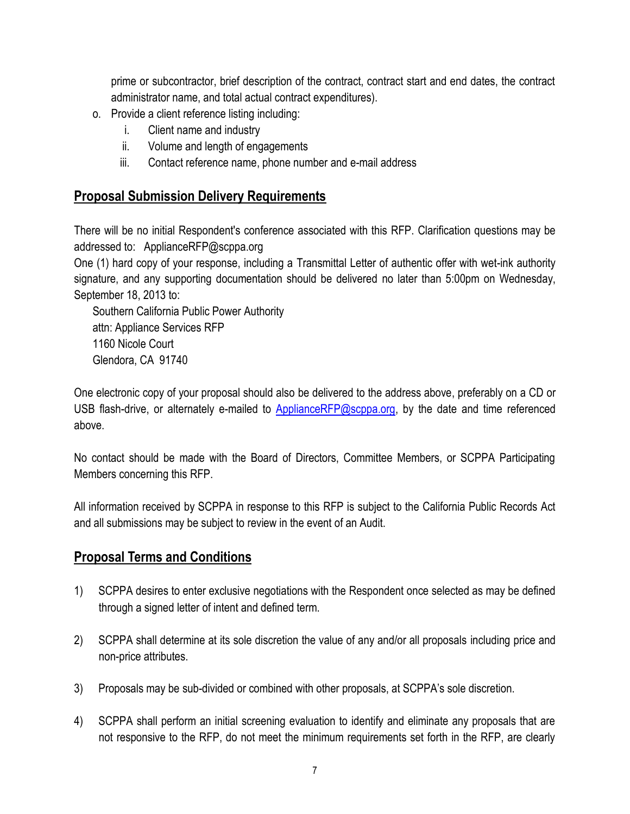prime or subcontractor, brief description of the contract, contract start and end dates, the contract administrator name, and total actual contract expenditures).

- o. Provide a client reference listing including:
	- i. Client name and industry
	- ii. Volume and length of engagements
	- iii. Contact reference name, phone number and e-mail address

# **Proposal Submission Delivery Requirements**

There will be no initial Respondent's conference associated with this RFP. Clarification questions may be addressed to: ApplianceRFP@scppa.org

One (1) hard copy of your response, including a Transmittal Letter of authentic offer with wet-ink authority signature, and any supporting documentation should be delivered no later than 5:00pm on Wednesday, September 18, 2013 to:

Southern California Public Power Authority attn: Appliance Services RFP 1160 Nicole Court Glendora, CA 91740

One electronic copy of your proposal should also be delivered to the address above, preferably on a CD or USB flash-drive, or alternately e-mailed to [ApplianceRFP@scppa.org,](mailto:ApplianceRFP@scppa.org) by the date and time referenced above.

No contact should be made with the Board of Directors, Committee Members, or SCPPA Participating Members concerning this RFP.

All information received by SCPPA in response to this RFP is subject to the California Public Records Act and all submissions may be subject to review in the event of an Audit.

# **Proposal Terms and Conditions**

- 1) SCPPA desires to enter exclusive negotiations with the Respondent once selected as may be defined through a signed letter of intent and defined term.
- 2) SCPPA shall determine at its sole discretion the value of any and/or all proposals including price and non-price attributes.
- 3) Proposals may be sub-divided or combined with other proposals, at SCPPA's sole discretion.
- 4) SCPPA shall perform an initial screening evaluation to identify and eliminate any proposals that are not responsive to the RFP, do not meet the minimum requirements set forth in the RFP, are clearly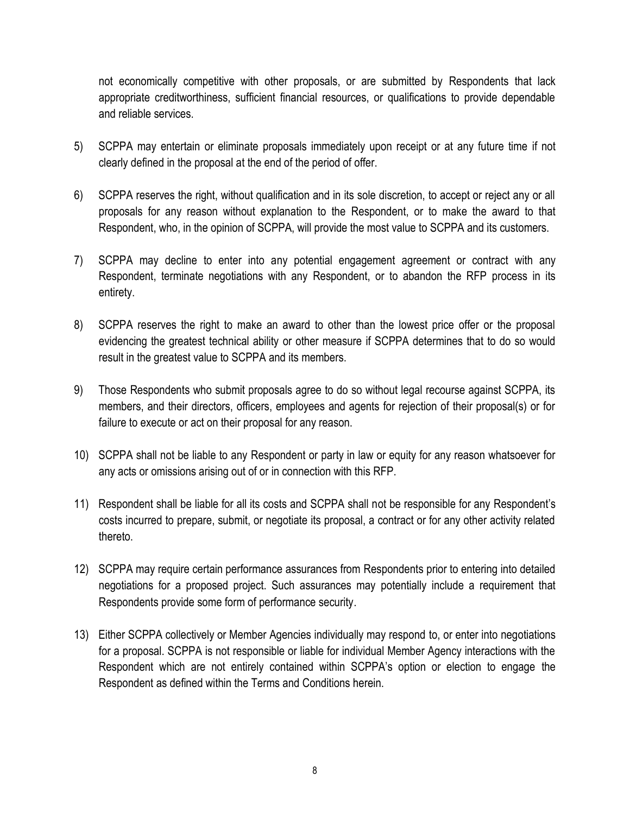not economically competitive with other proposals, or are submitted by Respondents that lack appropriate creditworthiness, sufficient financial resources, or qualifications to provide dependable and reliable services.

- 5) SCPPA may entertain or eliminate proposals immediately upon receipt or at any future time if not clearly defined in the proposal at the end of the period of offer.
- 6) SCPPA reserves the right, without qualification and in its sole discretion, to accept or reject any or all proposals for any reason without explanation to the Respondent, or to make the award to that Respondent, who, in the opinion of SCPPA, will provide the most value to SCPPA and its customers.
- 7) SCPPA may decline to enter into any potential engagement agreement or contract with any Respondent, terminate negotiations with any Respondent, or to abandon the RFP process in its entirety.
- 8) SCPPA reserves the right to make an award to other than the lowest price offer or the proposal evidencing the greatest technical ability or other measure if SCPPA determines that to do so would result in the greatest value to SCPPA and its members.
- 9) Those Respondents who submit proposals agree to do so without legal recourse against SCPPA, its members, and their directors, officers, employees and agents for rejection of their proposal(s) or for failure to execute or act on their proposal for any reason.
- 10) SCPPA shall not be liable to any Respondent or party in law or equity for any reason whatsoever for any acts or omissions arising out of or in connection with this RFP.
- 11) Respondent shall be liable for all its costs and SCPPA shall not be responsible for any Respondent's costs incurred to prepare, submit, or negotiate its proposal, a contract or for any other activity related thereto.
- 12) SCPPA may require certain performance assurances from Respondents prior to entering into detailed negotiations for a proposed project. Such assurances may potentially include a requirement that Respondents provide some form of performance security.
- 13) Either SCPPA collectively or Member Agencies individually may respond to, or enter into negotiations for a proposal. SCPPA is not responsible or liable for individual Member Agency interactions with the Respondent which are not entirely contained within SCPPA's option or election to engage the Respondent as defined within the Terms and Conditions herein.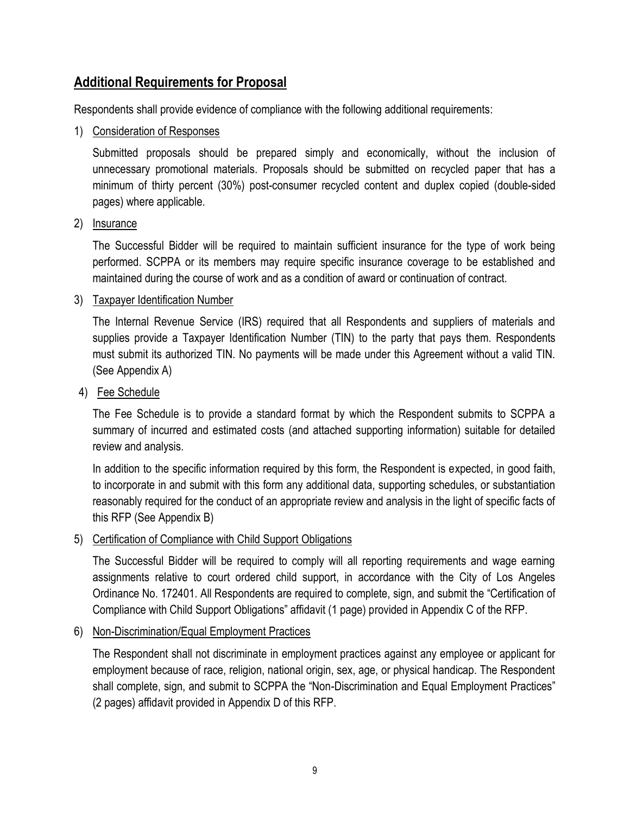# **Additional Requirements for Proposal**

Respondents shall provide evidence of compliance with the following additional requirements:

#### 1) Consideration of Responses

Submitted proposals should be prepared simply and economically, without the inclusion of unnecessary promotional materials. Proposals should be submitted on recycled paper that has a minimum of thirty percent (30%) post-consumer recycled content and duplex copied (double-sided pages) where applicable.

#### 2) Insurance

The Successful Bidder will be required to maintain sufficient insurance for the type of work being performed. SCPPA or its members may require specific insurance coverage to be established and maintained during the course of work and as a condition of award or continuation of contract.

## 3) Taxpayer Identification Number

The Internal Revenue Service (IRS) required that all Respondents and suppliers of materials and supplies provide a Taxpayer Identification Number (TIN) to the party that pays them. Respondents must submit its authorized TIN. No payments will be made under this Agreement without a valid TIN. (See Appendix A)

#### 4) Fee Schedule

The Fee Schedule is to provide a standard format by which the Respondent submits to SCPPA a summary of incurred and estimated costs (and attached supporting information) suitable for detailed review and analysis.

In addition to the specific information required by this form, the Respondent is expected, in good faith, to incorporate in and submit with this form any additional data, supporting schedules, or substantiation reasonably required for the conduct of an appropriate review and analysis in the light of specific facts of this RFP (See Appendix B)

## 5) Certification of Compliance with Child Support Obligations

The Successful Bidder will be required to comply will all reporting requirements and wage earning assignments relative to court ordered child support, in accordance with the City of Los Angeles Ordinance No. 172401. All Respondents are required to complete, sign, and submit the "Certification of Compliance with Child Support Obligations" affidavit (1 page) provided in Appendix C of the RFP.

## 6) Non-Discrimination/Equal Employment Practices

The Respondent shall not discriminate in employment practices against any employee or applicant for employment because of race, religion, national origin, sex, age, or physical handicap. The Respondent shall complete, sign, and submit to SCPPA the "Non-Discrimination and Equal Employment Practices" (2 pages) affidavit provided in Appendix D of this RFP.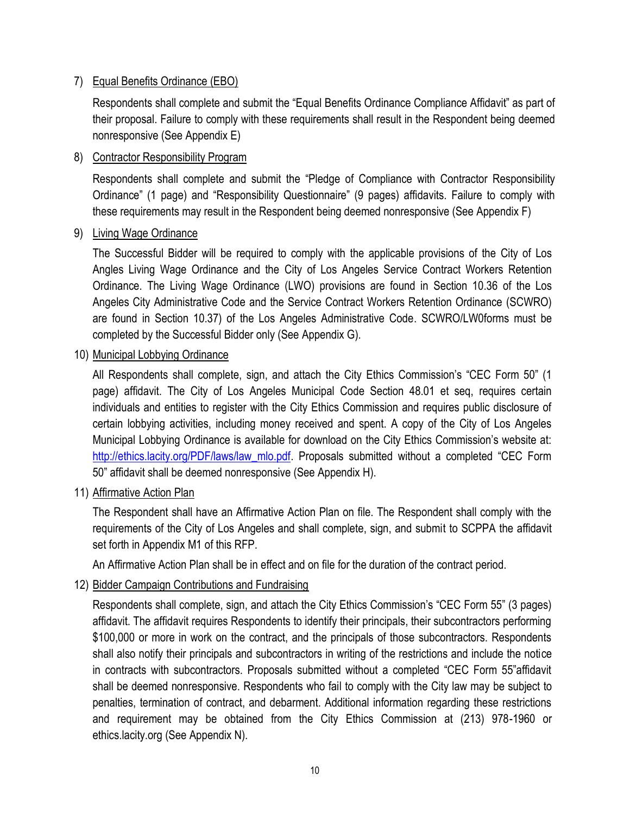#### 7) Equal Benefits Ordinance (EBO)

Respondents shall complete and submit the "Equal Benefits Ordinance Compliance Affidavit" as part of their proposal. Failure to comply with these requirements shall result in the Respondent being deemed nonresponsive (See Appendix E)

#### 8) Contractor Responsibility Program

Respondents shall complete and submit the "Pledge of Compliance with Contractor Responsibility Ordinance" (1 page) and "Responsibility Questionnaire" (9 pages) affidavits. Failure to comply with these requirements may result in the Respondent being deemed nonresponsive (See Appendix F)

#### 9) Living Wage Ordinance

The Successful Bidder will be required to comply with the applicable provisions of the City of Los Angles Living Wage Ordinance and the City of Los Angeles Service Contract Workers Retention Ordinance. The Living Wage Ordinance (LWO) provisions are found in Section 10.36 of the Los Angeles City Administrative Code and the Service Contract Workers Retention Ordinance (SCWRO) are found in Section 10.37) of the Los Angeles Administrative Code. SCWRO/LW0forms must be completed by the Successful Bidder only (See Appendix G).

10) Municipal Lobbying Ordinance

All Respondents shall complete, sign, and attach the City Ethics Commission's "CEC Form 50" (1 page) affidavit. The City of Los Angeles Municipal Code Section 48.01 et seq, requires certain individuals and entities to register with the City Ethics Commission and requires public disclosure of certain lobbying activities, including money received and spent. A copy of the City of Los Angeles Municipal Lobbying Ordinance is available for download on the City Ethics Commission's website at: [http://ethics.lacity.org/PDF/laws/law\\_mlo.pdf](http://ethics.lacity.org/PDF/laws/law_mlo.pdf). Proposals submitted without a completed "CEC Form 50" affidavit shall be deemed nonresponsive (See Appendix H).

11) Affirmative Action Plan

The Respondent shall have an Affirmative Action Plan on file. The Respondent shall comply with the requirements of the City of Los Angeles and shall complete, sign, and submit to SCPPA the affidavit set forth in Appendix M1 of this RFP.

An Affirmative Action Plan shall be in effect and on file for the duration of the contract period.

## 12) Bidder Campaign Contributions and Fundraising

Respondents shall complete, sign, and attach the City Ethics Commission's "CEC Form 55" (3 pages) affidavit. The affidavit requires Respondents to identify their principals, their subcontractors performing \$100,000 or more in work on the contract, and the principals of those subcontractors. Respondents shall also notify their principals and subcontractors in writing of the restrictions and include the notice in contracts with subcontractors. Proposals submitted without a completed "CEC Form 55"affidavit shall be deemed nonresponsive. Respondents who fail to comply with the City law may be subject to penalties, termination of contract, and debarment. Additional information regarding these restrictions and requirement may be obtained from the City Ethics Commission at (213) 978-1960 or ethics.lacity.org (See Appendix N).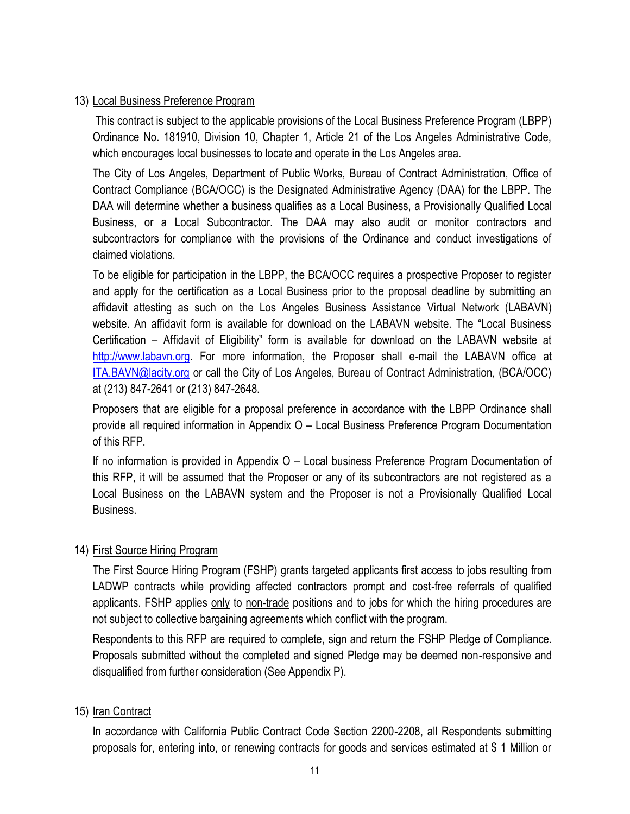#### 13) Local Business Preference Program

This contract is subject to the applicable provisions of the Local Business Preference Program (LBPP) Ordinance No. 181910, Division 10, Chapter 1, Article 21 of the Los Angeles Administrative Code, which encourages local businesses to locate and operate in the Los Angeles area.

The City of Los Angeles, Department of Public Works, Bureau of Contract Administration, Office of Contract Compliance (BCA/OCC) is the Designated Administrative Agency (DAA) for the LBPP. The DAA will determine whether a business qualifies as a Local Business, a Provisionally Qualified Local Business, or a Local Subcontractor. The DAA may also audit or monitor contractors and subcontractors for compliance with the provisions of the Ordinance and conduct investigations of claimed violations.

To be eligible for participation in the LBPP, the BCA/OCC requires a prospective Proposer to register and apply for the certification as a Local Business prior to the proposal deadline by submitting an affidavit attesting as such on the Los Angeles Business Assistance Virtual Network (LABAVN) website. An affidavit form is available for download on the LABAVN website. The "Local Business Certification – Affidavit of Eligibility" form is available for download on the LABAVN website at [http://www.labavn.org.](http://www.labavn.org/) For more information, the Proposer shall e-mail the LABAVN office at [ITA.BAVN@lacity.org](mailto:ITA.BAVN@lacity.org) or call the City of Los Angeles, Bureau of Contract Administration, (BCA/OCC) at (213) 847-2641 or (213) 847-2648.

Proposers that are eligible for a proposal preference in accordance with the LBPP Ordinance shall provide all required information in Appendix O – Local Business Preference Program Documentation of this RFP.

If no information is provided in Appendix O – Local business Preference Program Documentation of this RFP, it will be assumed that the Proposer or any of its subcontractors are not registered as a Local Business on the LABAVN system and the Proposer is not a Provisionally Qualified Local Business.

## 14) First Source Hiring Program

The First Source Hiring Program (FSHP) grants targeted applicants first access to jobs resulting from LADWP contracts while providing affected contractors prompt and cost-free referrals of qualified applicants. FSHP applies only to non-trade positions and to jobs for which the hiring procedures are not subject to collective bargaining agreements which conflict with the program.

Respondents to this RFP are required to complete, sign and return the FSHP Pledge of Compliance. Proposals submitted without the completed and signed Pledge may be deemed non-responsive and disqualified from further consideration (See Appendix P).

## 15) Iran Contract

In accordance with California Public Contract Code Section 2200-2208, all Respondents submitting proposals for, entering into, or renewing contracts for goods and services estimated at \$ 1 Million or